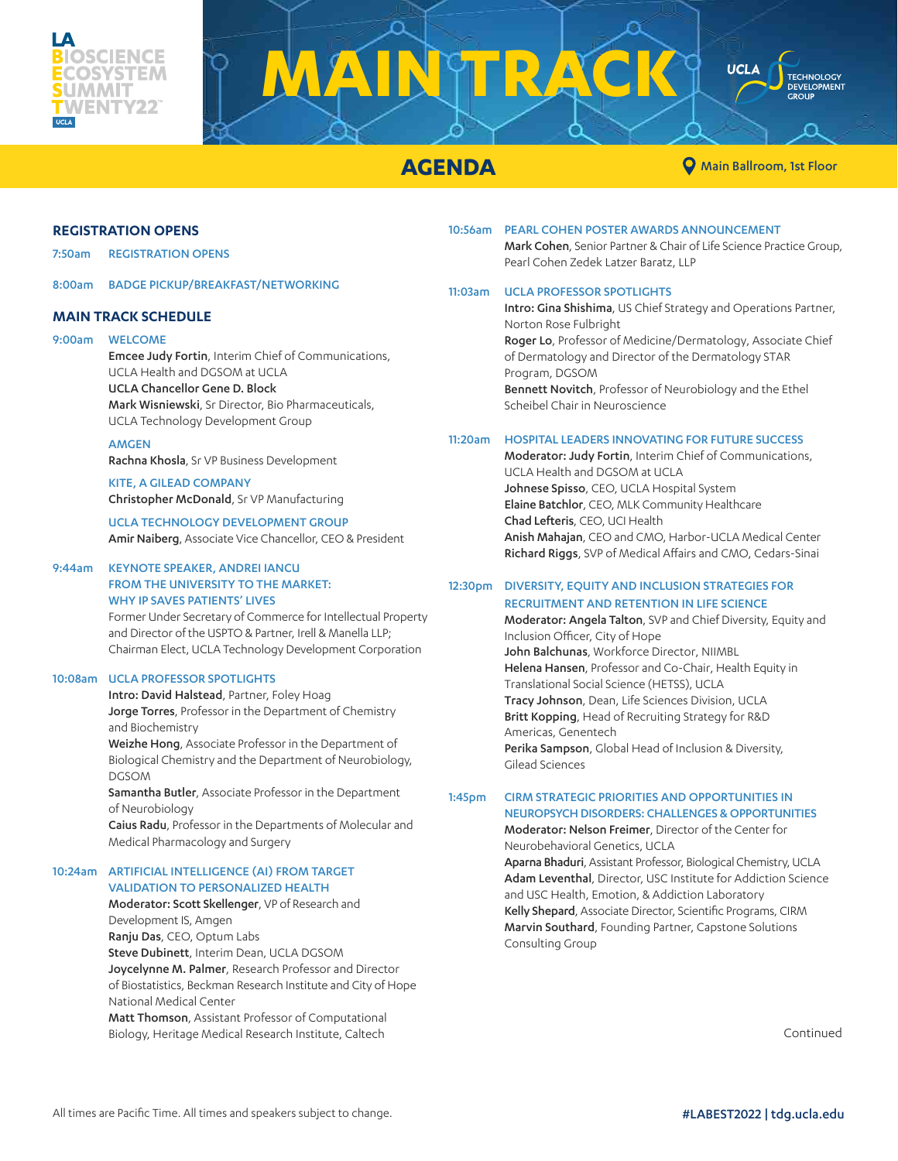

# **MAINTRACK UCLA**

**AGENDA AGENDA Main Ballroom**, 1st Floor

**TECHNOLOGY** DEVELOPMENT<br>GROUP

#### **REGISTRATION OPENS**

7:50am REGISTRATION OPENS

8:00am BADGE PICKUP/BREAKFAST/NETWORKING

#### **MAIN TRACK SCHEDULE**

#### 9:00am WELCOME

#### Emcee Judy Fortin, Interim Chief of Communications, UCLA Health and DGSOM at UCLA UCLA Chancellor Gene D. Block Mark Wisniewski, Sr Director, Bio Pharmaceuticals, UCLA Technology Development Group

#### **AMGEN**

Rachna Khosla, Sr VP Business Development

KITE, A GILEAD COMPANY Christopher McDonald, Sr VP Manufacturing

UCLA TECHNOLOGY DEVELOPMENT GROUP Amir Naiberg, Associate Vice Chancellor, CEO & President

### 9:44am KEYNOTE SPEAKER, ANDREI IANCU FROM THE UNIVERSITY TO THE MARKET:

#### WHY IP SAVES PATIENTS' LIVES

Former Under Secretary of Commerce for Intellectual Property and Director of the USPTO & Partner, Irell & Manella LLP; Chairman Elect, UCLA Technology Development Corporation

#### 10:08am UCLA PROFESSOR SPOTLIGHTS

Intro: David Halstead, Partner, Foley Hoag Jorge Torres, Professor in the Department of Chemistry and Biochemistry

Weizhe Hong, Associate Professor in the Department of Biological Chemistry and the Department of Neurobiology, DGSOM

Samantha Butler, Associate Professor in the Department of Neurobiology

Caius Radu, Professor in the Departments of Molecular and Medical Pharmacology and Surgery

#### 10:24am ARTIFICIAL INTELLIGENCE (AI) FROM TARGET VALIDATION TO PERSONALIZED HEALTH

Moderator: Scott Skellenger, VP of Research and Development IS, Amgen Ranju Das, CEO, Optum Labs Steve Dubinett, Interim Dean, UCLA DGSOM Joycelynne M. Palmer, Research Professor and Director of Biostatistics, Beckman Research Institute and City of Hope National Medical Center Matt Thomson, Assistant Professor of Computational Biology, Heritage Medical Research Institute, Caltech

10:56am PEARL COHEN POSTER AWARDS ANNOUNCEMENT

Mark Cohen, Senior Partner & Chair of Life Science Practice Group, Pearl Cohen Zedek Latzer Baratz, LLP

#### 11:03am UCLA PROFESSOR SPOTLIGHTS

Intro: Gina Shishima, US Chief Strategy and Operations Partner, Norton Rose Fulbright Roger Lo, Professor of Medicine/Dermatology, Associate Chief of Dermatology and Director of the Dermatology STAR Program, DGSOM Bennett Novitch, Professor of Neurobiology and the Ethel Scheibel Chair in Neuroscience

#### 11:20am HOSPITAL LEADERS INNOVATING FOR FUTURE SUCCESS

Moderator: Judy Fortin, Interim Chief of Communications, UCLA Health and DGSOM at UCLA Johnese Spisso, CEO, UCLA Hospital System Elaine Batchlor, CEO, MLK Community Healthcare Chad Lefteris, CEO, UCI Health Anish Mahajan, CEO and CMO, Harbor-UCLA Medical Center Richard Riggs, SVP of Medical Affairs and CMO, Cedars-Sinai

#### 12:30pm DIVERSITY, EQUITY AND INCLUSION STRATEGIES FOR RECRUITMENT AND RETENTION IN LIFE SCIENCE

Moderator: Angela Talton, SVP and Chief Diversity, Equity and Inclusion Officer, City of Hope John Balchunas, Workforce Director, NIIMBL Helena Hansen, Professor and Co-Chair, Health Equity in Translational Social Science (HETSS), UCLA Tracy Johnson, Dean, Life Sciences Division, UCLA Britt Kopping, Head of Recruiting Strategy for R&D Americas, Genentech Perika Sampson, Global Head of Inclusion & Diversity, Gilead Sciences

#### 1:45pm CIRM STRATEGIC PRIORITIES AND OPPORTUNITIES IN NEUROPSYCH DISORDERS: CHALLENGES & OPPORTUNITIES

Moderator: Nelson Freimer, Director of the Center for Neurobehavioral Genetics, UCLA

Aparna Bhaduri, Assistant Professor, Biological Chemistry, UCLA Adam Leventhal, Director, USC Institute for Addiction Science and USC Health, Emotion, & Addiction Laboratory Kelly Shepard, Associate Director, Scientific Programs, CIRM Marvin Southard, Founding Partner, Capstone Solutions Consulting Group

Continued